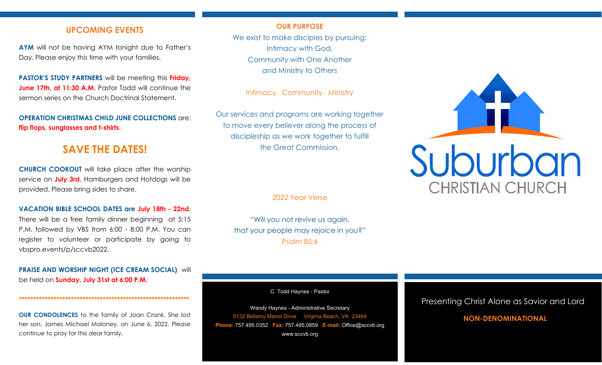## **UPCOMING EVENTS**

**AYM** will not be having AYM tonight due to Father's Day. Please enjoy this time with your families.

**PASTOR'S STUDY PARTNERS** will be meeting this **Friday, June 17th, at 11:30 A.M.** Pastor Todd will continue the sermon series on the Church Doctrinal Statement.

**OPERATION CHRISTMAS CHILD JUNE COLLECTIONS** are: **flip flops, sunglasses and t-shirts.**

# **SAVE THE DATES!**

**CHURCH COOKOUT** will take place after the worship service on **July 3rd.** Hamburgers and Hotdogs will be provided. Please bring sides to share.

#### **VACATION BIBLE SCHOOL DATES are July 18th - 22nd.**

There will be a free family dinner beginning at 5:15 P.M. followed by VBS from 6:00 - 8:00 P.M. You can register to volunteer or participate by going to vbspro.events/p/sccvb2022.

**PRAISE AND WORSHIP NIGHT (ICE CREAM SOCIAL)** will be held on **Sunday, July 31st at 6:00 P.M.**

**\*\*\*\*\*\*\*\*\*\*\*\*\*\*\*\*\*\*\*\*\*\*\*\*\*\*\*\*\*\*\*\*\*\*\*\*\*\*\*\*\*\*\*\*\*\*\*\*\*\*\*\*\*\*\*\*\*\*\***

**OUR CONDOLENCES** to the family of Joan Crank. She lost her son, James Michael Maloney, on June 6, 2022. Please continue to pray for this dear family.

### **OUR PURPOSE**

We exist to make disciples by pursuing: Intimacy with God, Community with One Another and Ministry to Others

Intimacy. Community. Ministry

Our services and programs are working together to move every believer along the process of discipleship as we work together to fulfill the Great Commission.

2022 Year Verse

"Will you not revive us again, that your people may rejoice in you?" Psalm 85:6

C. Todd Haynes - Pastor

Wendy Haynes - Administrative Secretary 5132 Bellamy Manor Drive Virginia Beach, VA 23464 **Phone:** 757.495.0352 **Fax:** 757.495.0859 **E-mail:** Office@sccvb.org www.sccvb.org



### Presenting Christ Alone as Savior and Lord

### **NON-DENOMINATIONAL**